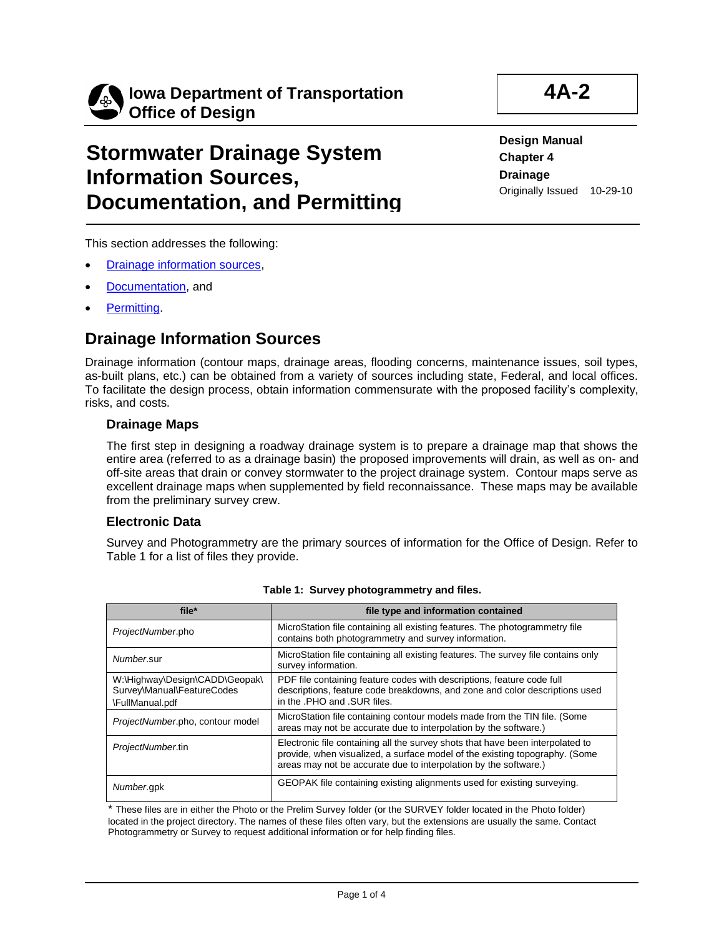

# **Stormwater Drainage System Information Sources, Documentation, and Permitting**

**Design Manual Chapter 4 Drainage** Originally Issued 10-29-10

This section addresses the following:

- **Drainage information sources.**
- **Documentation**, and
- [Permitting.](#page-3-0)

# <span id="page-0-0"></span>**Drainage Information Sources**

Drainage information (contour maps, drainage areas, flooding concerns, maintenance issues, soil types, as-built plans, etc.) can be obtained from a variety of sources including state, Federal, and local offices. To facilitate the design process, obtain information commensurate with the proposed facility's complexity, risks, and costs.

### **Drainage Maps**

The first step in designing a roadway drainage system is to prepare a drainage map that shows the entire area (referred to as a drainage basin) the proposed improvements will drain, as well as on- and off-site areas that drain or convey stormwater to the project drainage system. Contour maps serve as excellent drainage maps when supplemented by field reconnaissance. These maps may be available from the preliminary survey crew.

## **Electronic Data**

Survey and Photogrammetry are the primary sources of information for the Office of Design. Refer to Table 1 for a list of files they provide.

| file*                                                                           | file type and information contained                                                                                                                                                                                               |  |
|---------------------------------------------------------------------------------|-----------------------------------------------------------------------------------------------------------------------------------------------------------------------------------------------------------------------------------|--|
| ProjectNumber.pho                                                               | MicroStation file containing all existing features. The photogrammetry file<br>contains both photogrammetry and survey information.                                                                                               |  |
| Number.sur                                                                      | MicroStation file containing all existing features. The survey file contains only<br>survey information.                                                                                                                          |  |
| W:\Highway\Design\CADD\Geopak\<br>Survey\Manual\FeatureCodes<br>\FullManual.pdf | PDF file containing feature codes with descriptions, feature code full<br>descriptions, feature code breakdowns, and zone and color descriptions used<br>in the .PHO and .SUR files.                                              |  |
| ProjectNumber.pho, contour model                                                | MicroStation file containing contour models made from the TIN file. (Some<br>areas may not be accurate due to interpolation by the software.)                                                                                     |  |
| ProjectNumber.tin                                                               | Electronic file containing all the survey shots that have been interpolated to<br>provide, when visualized, a surface model of the existing topography. (Some<br>areas may not be accurate due to interpolation by the software.) |  |
| Number.gpk                                                                      | GEOPAK file containing existing alignments used for existing surveying.                                                                                                                                                           |  |

#### **Table 1: Survey photogrammetry and files.**

\* These files are in either the Photo or the Prelim Survey folder (or the SURVEY folder located in the Photo folder) located in the project directory. The names of these files often vary, but the extensions are usually the same. Contact Photogrammetry or Survey to request additional information or for help finding files.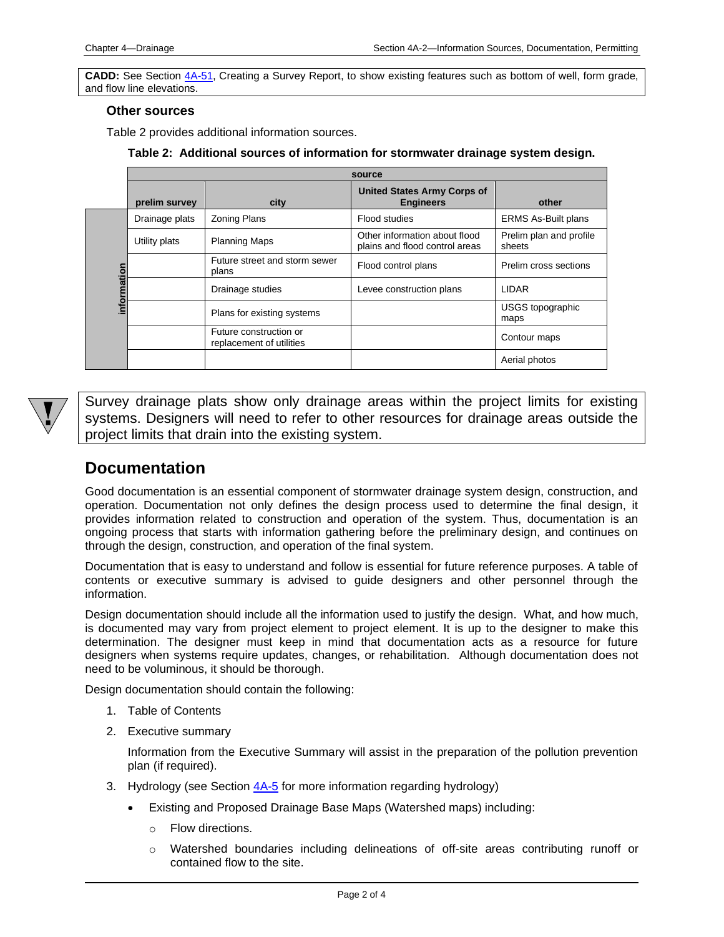**CADD:** See Section [4A-51,](04a-51.pdf) Creating a Survey Report, to show existing features such as bottom of well, form grade, and flow line elevations.

### **Other sources**

Table 2 provides additional information sources.

**Table 2: Additional sources of information for stormwater drainage system design.**

|             | source         |                                                    |                                                                 |                                   |  |  |
|-------------|----------------|----------------------------------------------------|-----------------------------------------------------------------|-----------------------------------|--|--|
|             | prelim survey  | city                                               | <b>United States Army Corps of</b><br><b>Engineers</b>          | other                             |  |  |
| information | Drainage plats | <b>Zoning Plans</b>                                | Flood studies                                                   | <b>ERMS As-Built plans</b>        |  |  |
|             | Utility plats  | <b>Planning Maps</b>                               | Other information about flood<br>plains and flood control areas | Prelim plan and profile<br>sheets |  |  |
|             |                | Future street and storm sewer<br>plans             | Flood control plans                                             | Prelim cross sections             |  |  |
|             |                | Drainage studies                                   | Levee construction plans                                        | <b>LIDAR</b>                      |  |  |
|             |                | Plans for existing systems                         |                                                                 | USGS topographic<br>maps          |  |  |
|             |                | Future construction or<br>replacement of utilities |                                                                 | Contour maps                      |  |  |
|             |                |                                                    |                                                                 | Aerial photos                     |  |  |



Survey drainage plats show only drainage areas within the project limits for existing systems. Designers will need to refer to other resources for drainage areas outside the project limits that drain into the existing system.

## <span id="page-1-0"></span>**Documentation**

Good documentation is an essential component of stormwater drainage system design, construction, and operation. Documentation not only defines the design process used to determine the final design, it provides information related to construction and operation of the system. Thus, documentation is an ongoing process that starts with information gathering before the preliminary design, and continues on through the design, construction, and operation of the final system.

Documentation that is easy to understand and follow is essential for future reference purposes. A table of contents or executive summary is advised to guide designers and other personnel through the information.

Design documentation should include all the information used to justify the design. What, and how much, is documented may vary from project element to project element. It is up to the designer to make this determination. The designer must keep in mind that documentation acts as a resource for future designers when systems require updates, changes, or rehabilitation. Although documentation does not need to be voluminous, it should be thorough.

Design documentation should contain the following:

- 1. Table of Contents
- 2. Executive summary

Information from the Executive Summary will assist in the preparation of the pollution prevention plan (if required).

- 3. Hydrology (see Section  $4A-5$  for more information regarding hydrology)
	- Existing and Proposed Drainage Base Maps (Watershed maps) including:
		- o Flow directions.
		- o Watershed boundaries including delineations of off-site areas contributing runoff or contained flow to the site.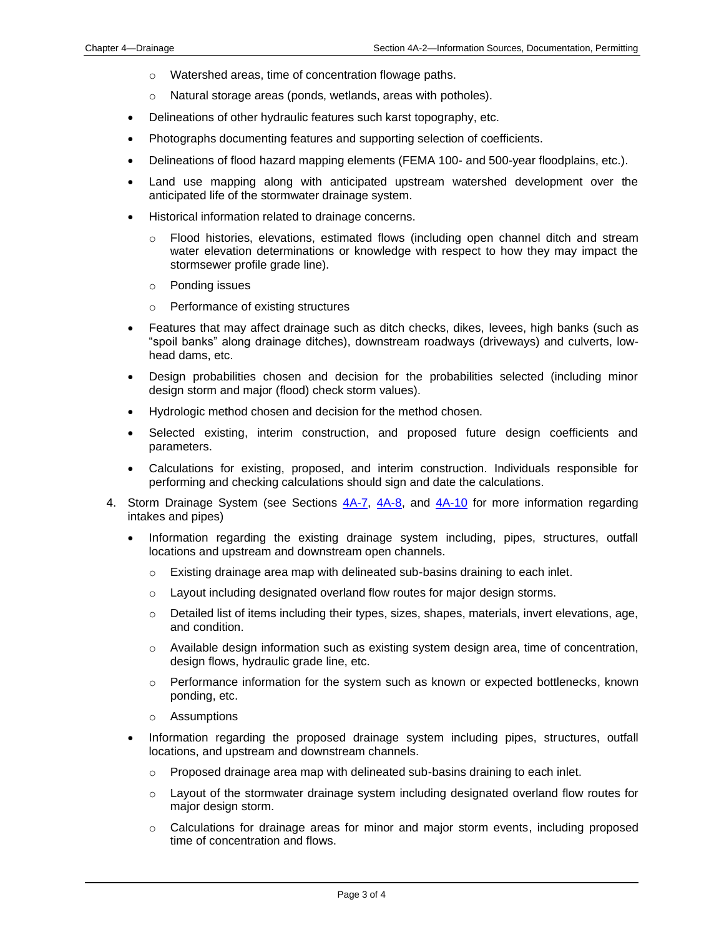- o Watershed areas, time of concentration flowage paths.
- o Natural storage areas (ponds, wetlands, areas with potholes).
- Delineations of other hydraulic features such karst topography, etc.
- Photographs documenting features and supporting selection of coefficients.
- Delineations of flood hazard mapping elements (FEMA 100- and 500-year floodplains, etc.).
- Land use mapping along with anticipated upstream watershed development over the anticipated life of the stormwater drainage system.
- Historical information related to drainage concerns.
	- o Flood histories, elevations, estimated flows (including open channel ditch and stream water elevation determinations or knowledge with respect to how they may impact the stormsewer profile grade line).
	- o Ponding issues
	- o Performance of existing structures
- Features that may affect drainage such as ditch checks, dikes, levees, high banks (such as "spoil banks" along drainage ditches), downstream roadways (driveways) and culverts, lowhead dams, etc.
- Design probabilities chosen and decision for the probabilities selected (including minor design storm and major (flood) check storm values).
- Hydrologic method chosen and decision for the method chosen.
- Selected existing, interim construction, and proposed future design coefficients and parameters.
- Calculations for existing, proposed, and interim construction. Individuals responsible for performing and checking calculations should sign and date the calculations.
- 4. Storm Drainage System (see Sections  $4A-7$ ,  $4A-8$ , and  $4A-10$  for more information regarding intakes and pipes)
	- Information regarding the existing drainage system including, pipes, structures, outfall locations and upstream and downstream open channels.
		- o Existing drainage area map with delineated sub-basins draining to each inlet.
		- $\circ$  Layout including designated overland flow routes for major design storms.
		- $\circ$  Detailed list of items including their types, sizes, shapes, materials, invert elevations, age, and condition.
		- o Available design information such as existing system design area, time of concentration, design flows, hydraulic grade line, etc.
		- $\circ$  Performance information for the system such as known or expected bottlenecks, known ponding, etc.
		- o Assumptions
	- Information regarding the proposed drainage system including pipes, structures, outfall locations, and upstream and downstream channels.
		- $\circ$  Proposed drainage area map with delineated sub-basins draining to each inlet.
		- $\circ$  Layout of the stormwater drainage system including designated overland flow routes for major design storm.
		- $\circ$  Calculations for drainage areas for minor and major storm events, including proposed time of concentration and flows.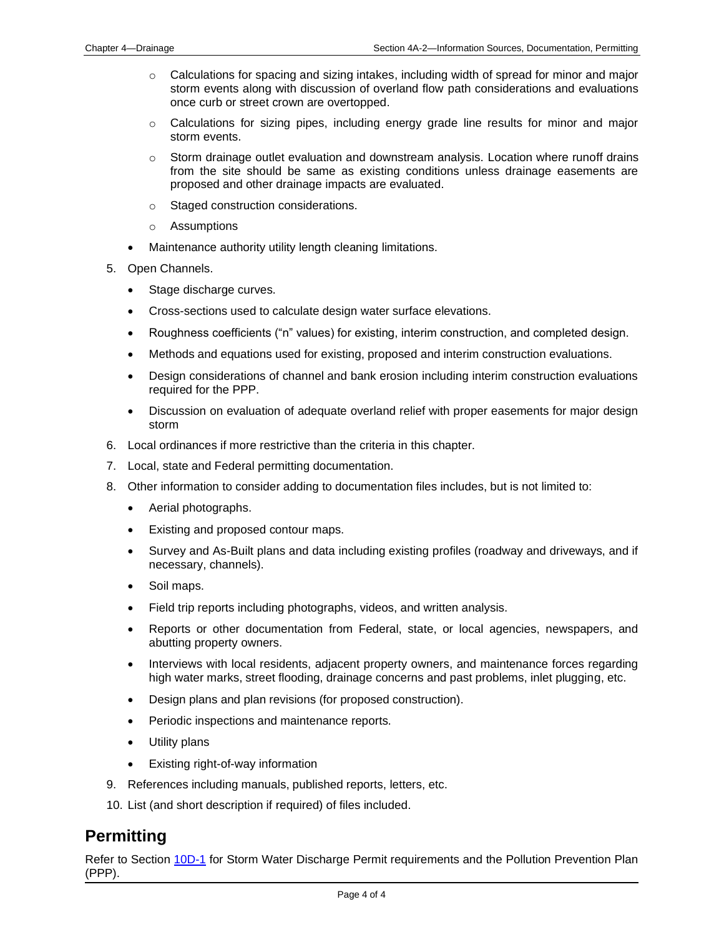- $\circ$  Calculations for spacing and sizing intakes, including width of spread for minor and major storm events along with discussion of overland flow path considerations and evaluations once curb or street crown are overtopped.
- o Calculations for sizing pipes, including energy grade line results for minor and major storm events.
- $\circ$  Storm drainage outlet evaluation and downstream analysis. Location where runoff drains from the site should be same as existing conditions unless drainage easements are proposed and other drainage impacts are evaluated.
- o Staged construction considerations.
- o Assumptions
- Maintenance authority utility length cleaning limitations.
- 5. Open Channels.
	- Stage discharge curves.
	- Cross-sections used to calculate design water surface elevations.
	- Roughness coefficients ("n" values) for existing, interim construction, and completed design.
	- Methods and equations used for existing, proposed and interim construction evaluations.
	- Design considerations of channel and bank erosion including interim construction evaluations required for the PPP.
	- Discussion on evaluation of adequate overland relief with proper easements for major design storm
- 6. Local ordinances if more restrictive than the criteria in this chapter.
- 7. Local, state and Federal permitting documentation.
- 8. Other information to consider adding to documentation files includes, but is not limited to:
	- Aerial photographs.
	- Existing and proposed contour maps.
	- Survey and As-Built plans and data including existing profiles (roadway and driveways, and if necessary, channels).
	- Soil maps.
	- Field trip reports including photographs, videos, and written analysis.
	- Reports or other documentation from Federal, state, or local agencies, newspapers, and abutting property owners.
	- Interviews with local residents, adjacent property owners, and maintenance forces regarding high water marks, street flooding, drainage concerns and past problems, inlet plugging, etc.
	- Design plans and plan revisions (for proposed construction).
	- Periodic inspections and maintenance reports.
	- Utility plans
	- Existing right-of-way information
- 9. References including manuals, published reports, letters, etc.
- 10. List (and short description if required) of files included.

## <span id="page-3-0"></span>**Permitting**

Refer to Section [10D-1](10d-01.pdf) for Storm Water Discharge Permit requirements and the Pollution Prevention Plan (PPP).